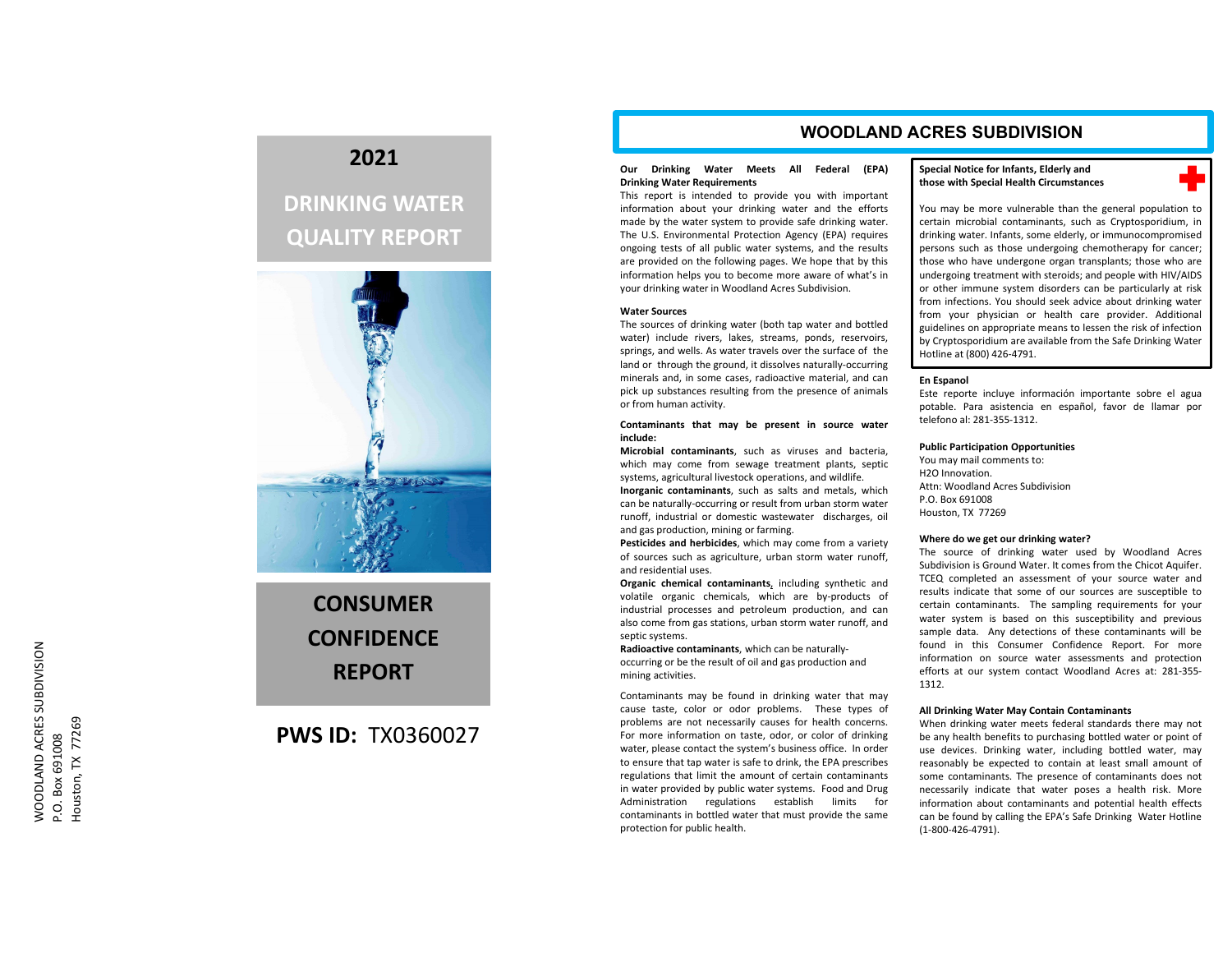## **2021**

# **DRINKING WATER QUALITY REPORT**



# **CONSUMERCONFIDENCEREPORT**

## **PWS ID:** TX0360027

### **WOODLAND ACRES SUBDIVISION**

#### **Our Drinking Water Meets All Federal (EPA) Drinking Water Requirements**

This report is intended to provide you with important information about your drinking water and the efforts made by the water system to provide safe drinking water. The U.S. Environmental Protection Agency (EPA) requires ongoing tests of all public water systems, and the results are provided on the following pages. We hope that by this information helps you to become more aware of what's in your drinking water in Woodland Acres Subdivision.

#### **Water Sources**

 The sources of drinking water (both tap water and bottled water) include rivers, lakes, streams, ponds, reservoirs, springs, and wells. As water travels over the surface of the land or through the ground, it dissolves naturally‐occurring minerals and, in some cases, radioactive material, and can pick up substances resulting from the presence of animals or from human activity.

#### **Contaminants that may be present in source water include:**

**Microbial contaminants**, such as viruses and bacteria, which may come from sewage treatment plants, septic systems, agricultural livestock operations, and wildlife.

**Inorganic contaminants**, such as salts and metals, which can be naturally‐occurring or result from urban storm water runoff, industrial or domestic wastewater discharges, oil and gas production, mining or farming.

**Pesticides and herbicides**, which may come from <sup>a</sup> variety of sources such as agriculture, urban storm water runoff, and residential uses.

**Organic chemical contaminants**, including synthetic and volatile organic chemicals, which are by‐products of industrial processes and petroleum production, and can also come from gas stations, urban storm water runoff, and septic systems.

**Radioactive contaminants**, which can be naturally‐ occurring or be the result of oil and gas production and mining activities.

Contaminants may be found in drinking water that may cause taste, color or odor problems. These types of problems are not necessarily causes for health concerns. For more information on taste, odor, or color of drinking water, please contact the system's business office. In order to ensure that tap water is safe to drink, the EPA prescribes regulations that limit the amount of certain contaminants in water provided by public water systems. Food and Drug Administration regulations establish limits for contaminants in bottled water that must provide the same protection for public health.

#### **Special Notice for Infants, Elderly and those with Special Health Circumstances**



You may be more vulnerable than the general population to certain microbial contaminants, such as Cryptosporidium, in drinking water. Infants, some elderly, or immunocompromised persons such as those undergoing chemotherapy for cancer; those who have undergone organ transplants; those who are undergoing treatment with steroids; and people with HIV/AIDS or other immune system disorders can be particularly at risk from infections. You should seek advice about drinking water from your physician or health care provider. Additional guidelines on appropriate means to lessen the risk of infection by Cryptosporidium are available from the Safe Drinking Water Hotline at (800) 426‐4791.

#### **En Espanol**

Este reporte incluye información importante sobre el agua potable. Para asistencia en español, favor de llamar por telefono al: 281‐355‐1312.

#### **Public Participation Opportunities**

You may mail comments to: H2O Innovation.Attn: Woodland Acres SubdivisionP.O. Box 691008Houston, TX 77269

#### **Where do we get our drinking water?**

The source of drinking water used by Woodland Acres Subdivision is Ground Water. It comes from the Chicot Aquifer. TCEQ completed an assessment of your source water and results indicate that some of our sources are susceptible to certain contaminants. The sampling requirements for your water system is based on this susceptibility and previous sample data. Any detections of these contaminants will be found in this Consumer Confidence Report. For more information on source water assessments and protection efforts at our system contact Woodland Acres at: 281‐355‐ 1312.

#### **All Drinking Water May Contain Contaminants**

When drinking water meets federal standards there may not be any health benefits to purchasing bottled water or point of use devices. Drinking water, including bottled water, may reasonably be expected to contain at least small amount of some contaminants. The presence of contaminants does not necessarily indicate that water poses <sup>a</sup> health risk. More information about contaminants and potential health effects can be found by calling the EPA's Safe Drinking Water Hotline (1‐800‐426‐4791).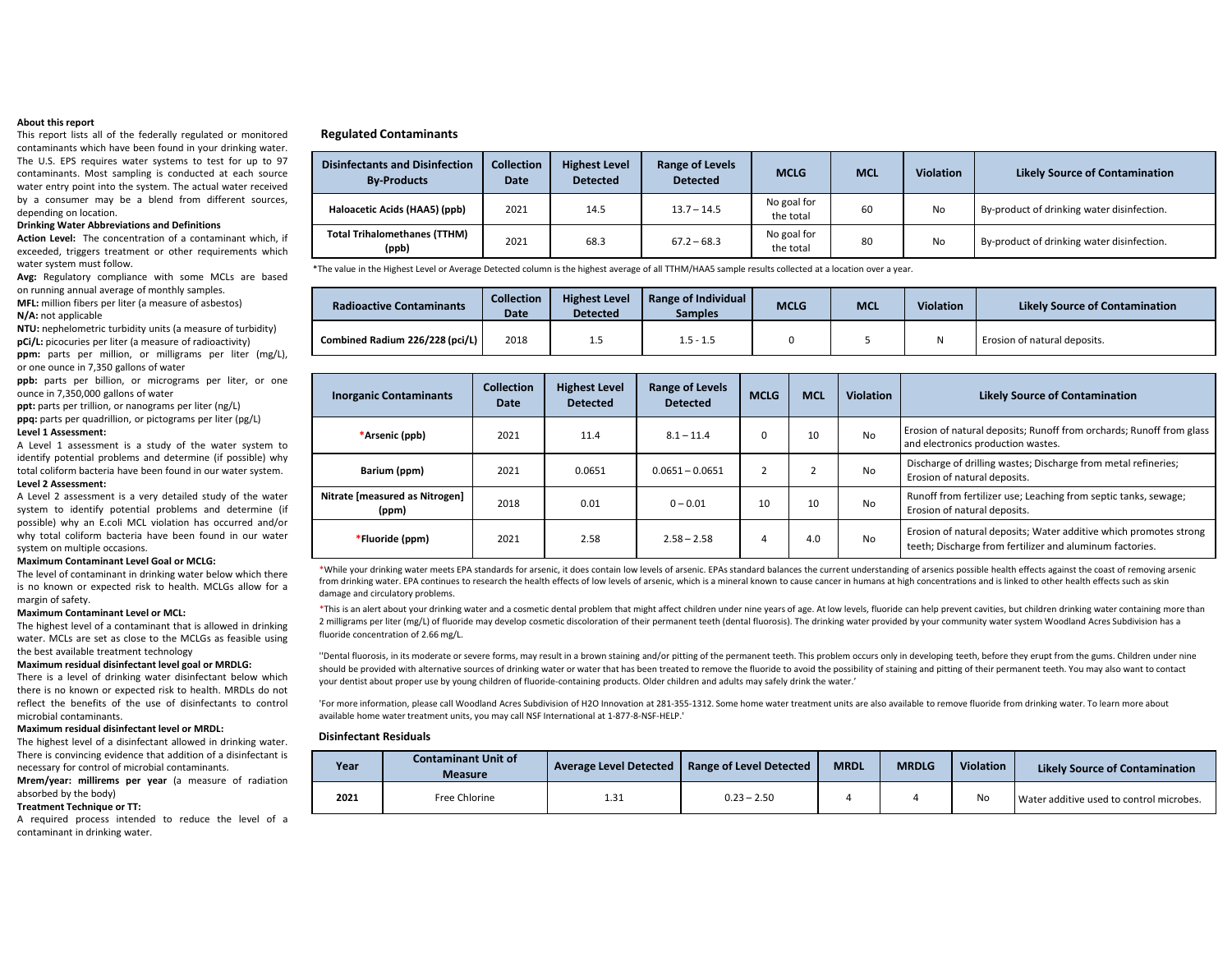#### **About this report**

This report lists all of the federally regulated or monitored contaminants which have been found in your drinking water. The U.S. EPS requires water systems to test for up to 97 contaminants. Most sampling is conducted at each source water entry point into the system. The actual water received by <sup>a</sup> consumer may be <sup>a</sup> blend from different sources, depending on location.

#### **Drinking Water Abbreviations and Definitions**

**Action Level:** The concentration of <sup>a</sup> contaminant which, if exceeded, triggers treatment or other requirements which water system must follow.

**Avg:** Regulatory compliance with some MCLs are based on running annual average of monthly samples.

**MFL:** million fibers per liter (a measure of asbestos) **N/A:** not applicable

**NTU:** nephelometric turbidity units (a measure of turbidity) **pCi/L:** picocuries per liter (a measure of radioactivity)

**ppm:** parts per million, or milligrams per liter (mg/L), or one ounce in 7,350 gallons of water

**ppb:** parts per billion, or micrograms per liter, or one ounce in 7,350,000 gallons of water

**ppt:** parts per trillion, or nanograms per liter (ng/L) **ppq:** parts per quadrillion, or pictograms per liter (pg/L)

#### **Level 1 Assessment:**

A Level 1 assessment is <sup>a</sup> study of the water system to identify potential problems and determine (if possible) why total coliform bacteria have been found in our water system. **Level 2 Assessment:**

## A Level 2 assessment is <sup>a</sup> very detailed study of the water

system to identify potential problems and determine (if possible) why an E.coli MCL violation has occurred and/or why total coliform bacteria have been found in our water system on multiple occasions.

#### **Maximum Contaminant Level Goal or MCLG:**

The level of contaminant in drinking water below which there is no known or expected risk to health. MCLGs allow for <sup>a</sup> margin of safety.

#### **Maximum Contaminant Level or MCL:**

The highest level of <sup>a</sup> contaminant that is allowed in drinking water. MCLs are set as close to the MCLGs as feasible using the best available treatment technology

#### **Maximum residual disinfectant level goal or MRDLG:**

There is <sup>a</sup> level of drinking water disinfectant below which there is no known or expected risk to health. MRDLs do not reflect the benefits of the use of disinfectants to controlmicrobial contaminants.

#### **Maximum residual disinfectant level or MRDL:**

The highest level of <sup>a</sup> disinfectant allowed in drinking water. There is convincing evidence that addition of <sup>a</sup> disinfectant is necessary for control of microbial contaminants.

**Mrem/year: millirems per year** (a measure of radiation absorbed by the body)

#### **Treatment Technique or TT:**

A required process intended to reduce the level of <sup>a</sup> contaminant in drinking water.

#### **Regulated Contaminants**

| <b>Disinfectants and Disinfection</b><br><b>By-Products</b> | <b>Collection</b><br><b>Date</b> | <b>Highest Level</b><br><b>Detected</b> | <b>Range of Levels</b><br><b>Detected</b> | <b>MCLG</b>              | <b>MCL</b> | <b>Violation</b> | <b>Likely Source of Contamination</b>      |
|-------------------------------------------------------------|----------------------------------|-----------------------------------------|-------------------------------------------|--------------------------|------------|------------------|--------------------------------------------|
| Haloacetic Acids (HAA5) (ppb)                               | 2021                             | 14.5                                    | $13.7 - 14.5$                             | No goal for<br>the total | 60         | <b>No</b>        | By-product of drinking water disinfection. |
| <b>Total Trihalomethanes (TTHM)</b><br>(ppb)                | 2021                             | 68.3                                    | $67.2 - 68.3$                             | No goal for<br>the total | 80         | <b>No</b>        | By-product of drinking water disinfection. |

\*The value in the Highest Level or Average Detected column is the highest average of all TTHM/HAA5 sample results collected at <sup>a</sup> location over <sup>a</sup> year.

| <b>Radioactive Contaminants</b> | <b>Collection</b><br>Date | <b>Highest Level</b><br><b>Detected</b> | Range of Individual<br>Samples | <b>MCLG</b> | <b>MCL</b> | <b>Violation</b> | <b>Likely Source of Contamination</b> |
|---------------------------------|---------------------------|-----------------------------------------|--------------------------------|-------------|------------|------------------|---------------------------------------|
| Combined Radium 226/228 (pci/L) | 2018                      |                                         | $1.5 - 1.5$                    |             |            |                  | Erosion of natural deposits.          |

| <b>Inorganic Contaminants</b>           | <b>Collection</b><br>Date | <b>Highest Level</b><br><b>Detected</b> | Range of Levels<br><b>Detected</b> | <b>MCLG</b> | <b>MCL</b> | <b>Violation</b> | <b>Likely Source of Contamination</b>                                                                                         |
|-----------------------------------------|---------------------------|-----------------------------------------|------------------------------------|-------------|------------|------------------|-------------------------------------------------------------------------------------------------------------------------------|
| *Arsenic (ppb)                          | 2021                      | 11.4                                    | $8.1 - 11.4$                       |             | 10         | <b>No</b>        | Erosion of natural deposits; Runoff from orchards; Runoff from glass<br>and electronics production wastes.                    |
| Barium (ppm)                            | 2021                      | 0.0651                                  | $0.0651 - 0.0651$                  |             |            | No               | Discharge of drilling wastes; Discharge from metal refineries;<br>Erosion of natural deposits.                                |
| Nitrate [measured as Nitrogen]<br>(ppm) | 2018                      | 0.01                                    | $0 - 0.01$                         | 10          | 10         | No               | Runoff from fertilizer use; Leaching from septic tanks, sewage;<br>Erosion of natural deposits.                               |
| *Fluoride (ppm)                         | 2021                      | 2.58                                    | $2.58 - 2.58$                      |             | 4.0        | No               | Erosion of natural deposits; Water additive which promotes strong<br>teeth; Discharge from fertilizer and aluminum factories. |

\*While your drinking water meets EPA standards for arsenic, it does contain low levels of arsenic. EPAs standard balances the current understanding of arsenics possible health effects against the coast of removing arsenic from drinking water. EPA continues to research the health effects of low levels of arsenic, which is <sup>a</sup> mineral known to cause cancer in humans at high concentrations and is linked to other health effects such as skin damage and circulatory problems.

\*This is an alert about your drinking water and a cosmetic dental problem that might affect children under nine years of age. At low levels, fluoride can help prevent cavities, but children drinking water containing more t 2 milligrams per liter (mg/L) of fluoride may develop cosmetic discoloration of their permanent teeth (dental fluorosis). The drinking water provided by your community water system Woodland Acres Subdivision has <sup>a</sup> fluoride concentration of 2.66 mg/L.

''Dental fluorosis, in its moderate or severe forms, may result in <sup>a</sup> brown staining and/or pitting of the permanent teeth. This problem occurs only in developing teeth, before they erupt from the gums. Children under nine should be provided with alternative sources of drinking water or water that has been treated to remove the fluoride to avoid the possibility of staining and pitting of their permanent teeth. You may also want to contact your dentist about proper use by young children of fluoride‐containing products. Older children and adults may safely drink the water.'

'For more information, please call Woodland Acres Subdivision of H2O Innovation at 281‐355‐1312. Some home water treatment units are also available to remove fluoride from drinking water. To learn more about available home water treatment units, you may call NSF International at 1‐877‐8‐NSF‐HELP.'

#### **Disinfectant Residuals**

| Year | <b>Contaminant Unit of</b><br><b>Measure</b> |      | Average Level Detected   Range of Level Detected | <b>MRDL</b> | <b>MRDLG</b> | <b>Violation</b> | <b>Likely Source of Contamination</b>    |
|------|----------------------------------------------|------|--------------------------------------------------|-------------|--------------|------------------|------------------------------------------|
| 2021 | Free Chlorine                                | 1.31 | $0.23 - 2.50$                                    |             |              | <b>No</b>        | Water additive used to control microbes. |